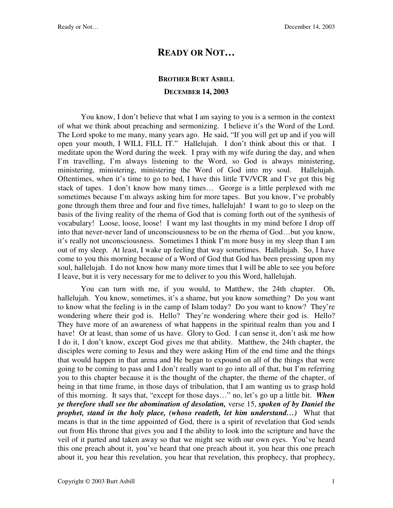## **READY OR NOT…**

## **BROTHER BURT ASBILL DECEMBER 14, 2003**

You know, I don't believe that what I am saying to you is a sermon in the context of what we think about preaching and sermonizing. I believe it's the Word of the Lord. The Lord spoke to me many, many years ago. He said, "If you will get up and if you will open your mouth, I WILL FILL IT." Hallelujah. I don't think about this or that. I meditate upon the Word during the week. I pray with my wife during the day, and when I'm travelling, I'm always listening to the Word, so God is always ministering, ministering, ministering, ministering the Word of God into my soul. Hallelujah. Oftentimes, when it's time to go to bed, I have this little TV/VCR and I've got this big stack of tapes. I don't know how many times… George is a little perplexed with me sometimes because I'm always asking him for more tapes. But you know, I've probably gone through them three and four and five times, hallelujah! I want to go to sleep on the basis of the living reality of the rhema of God that is coming forth out of the synthesis of vocabulary! Loose, loose, loose! I want my last thoughts in my mind before I drop off into that never-never land of unconsciousness to be on the rhema of God…but you know, it's really not unconsciousness. Sometimes I think I'm more busy in my sleep than I am out of my sleep. At least, I wake up feeling that way sometimes. Hallelujah. So, I have come to you this morning because of a Word of God that God has been pressing upon my soul, hallelujah. I do not know how many more times that I will be able to see you before I leave, but it is very necessary for me to deliver to you this Word, hallelujah.

You can turn with me, if you would, to Matthew, the 24th chapter. Oh, hallelujah. You know, sometimes, it's a shame, but you know something? Do you want to know what the feeling is in the camp of Islam today? Do you want to know? They're wondering where their god is. Hello? They're wondering where their god is. Hello? They have more of an awareness of what happens in the spiritual realm than you and I have! Or at least, than some of us have. Glory to God. I can sense it, don't ask me how I do it, I don't know, except God gives me that ability. Matthew, the 24th chapter, the disciples were coming to Jesus and they were asking Him of the end time and the things that would happen in that arena and He began to expound on all of the things that were going to be coming to pass and I don't really want to go into all of that, but I'm referring you to this chapter because it is the thought of the chapter, the theme of the chapter, of being in that time frame, in those days of tribulation, that I am wanting us to grasp hold of this morning. It says that, "except for those days…" no, let's go up a little bit. *When ye therefore shall see the abomination of desolation,* verse 15, *spoken of by Daniel the prophet, stand in the holy place, (whoso readeth, let him understand...)* What that means is that in the time appointed of God, there is a spirit of revelation that God sends out from His throne that gives you and I the ability to look into the scripture and have the veil of it parted and taken away so that we might see with our own eyes. You've heard this one preach about it, you've heard that one preach about it, you hear this one preach about it, you hear this revelation, you hear that revelation, this prophecy, that prophecy,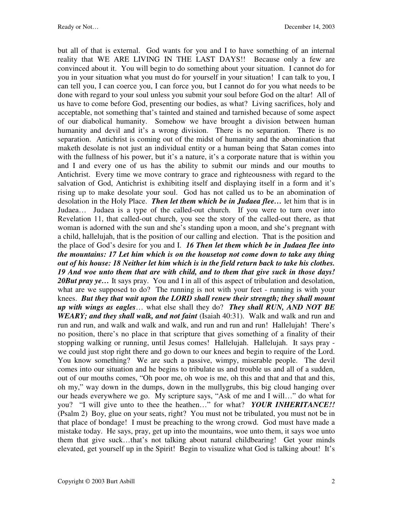but all of that is external. God wants for you and I to have something of an internal reality that WE ARE LIVING IN THE LAST DAYS!! Because only a few are convinced about it. You will begin to do something about your situation. I cannot do for you in your situation what you must do for yourself in your situation! I can talk to you, I can tell you, I can coerce you, I can force you, but I cannot do for you what needs to be done with regard to your soul unless you submit your soul before God on the altar! All of us have to come before God, presenting our bodies, as what? Living sacrifices, holy and acceptable, not something that's tainted and stained and tarnished because of some aspect of our diabolical humanity. Somehow we have brought a division between human humanity and devil and it's a wrong division. There is no separation. There is no separation. Antichrist is coming out of the midst of humanity and the abomination that maketh desolate is not just an individual entity or a human being that Satan comes into with the fullness of his power, but it's a nature, it's a corporate nature that is within you and I and every one of us has the ability to submit our minds and our mouths to Antichrist. Every time we move contrary to grace and righteousness with regard to the salvation of God, Antichrist is exhibiting itself and displaying itself in a form and it's rising up to make desolate your soul. God has not called us to be an abomination of desolation in the Holy Place. *Then let them which be in Judaea flee…* let him that is in Judaea… Judaea is a type of the called-out church. If you were to turn over into Revelation 11, that called-out church, you see the story of the called-out there, as that woman is adorned with the sun and she's standing upon a moon, and she's pregnant with a child, hallelujah, that is the position of our calling and election. That is the position and the place of God's desire for you and I. *16 Then let them which be in Judaea flee into the mountains: 17 Let him which is on the housetop not come down to take any thing out of his house: 18 Neither let him which is in the field return back to take his clothes. 19 And woe unto them that are with child, and to them that give suck in those days!*  20But pray ye... It says pray. You and I in all of this aspect of tribulation and desolation, what are we supposed to do? The running is not with your feet - running is with your knees. *But they that wait upon the LORD shall renew their strength; they shall mount up with wings as eagles*… what else shall they do? *They shall RUN, AND NOT BE WEARY; and they shall walk, and not faint* (Isaiah 40:31). Walk and walk and run and run and run, and walk and walk and walk, and run and run and run! Hallelujah! There's no position, there's no place in that scripture that gives something of a finality of their stopping walking or running, until Jesus comes! Hallelujah. Hallelujah. It says pray we could just stop right there and go down to our knees and begin to require of the Lord. You know something? We are such a passive, wimpy, miserable people. The devil comes into our situation and he begins to tribulate us and trouble us and all of a sudden, out of our mouths comes, "Oh poor me, oh woe is me, oh this and that and that and this, oh my," way down in the dumps, down in the mullygrubs, this big cloud hanging over our heads everywhere we go. My scripture says, "Ask of me and I will…" do what for you? "I will give unto to thee the heathen…" for what? *YOUR INHERITANCE!!* (Psalm 2)Boy, glue on your seats, right? You must not be tribulated, you must not be in that place of bondage! I must be preaching to the wrong crowd. God must have made a mistake today. He says, pray, get up into the mountains, woe unto them, it says woe unto them that give suck…that's not talking about natural childbearing! Get your minds elevated, get yourself up in the Spirit! Begin to visualize what God is talking about! It's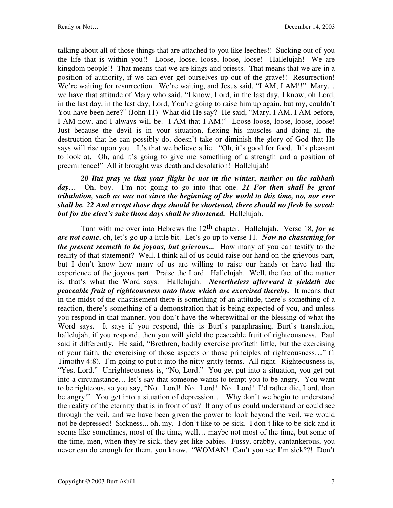talking about all of those things that are attached to you like leeches!! Sucking out of you the life that is within you!! Loose, loose, loose, loose, loose! Hallelujah! We are kingdom people!! That means that we are kings and priests. That means that we are in a position of authority, if we can ever get ourselves up out of the grave!! Resurrection! We're waiting for resurrection. We're waiting, and Jesus said, "I AM, I AM!!" Mary... we have that attitude of Mary who said, "I know, Lord, in the last day, I know, oh Lord, in the last day, in the last day, Lord, You're going to raise him up again, but my, couldn't You have been here?" (John 11) What did He say? He said, "Mary, I AM, I AM before, I AM now, and I always will be. I AM that I AM!" Loose loose, loose, loose, loose! Just because the devil is in your situation, flexing his muscles and doing all the destruction that he can possibly do, doesn't take or diminish the glory of God that He says will rise upon you. It's that we believe a lie. "Oh, it's good for food. It's pleasant to look at. Oh, and it's going to give me something of a strength and a position of preeminence!" All it brought was death and desolation! Hallelujah!

*20 But pray ye that your flight be not in the winter, neither on the sabbath day…* Oh, boy. I'm not going to go into that one. *21 For then shall be great tribulation, such as was not since the beginning of the world to this time, no, nor ever shall be. 22 And except those days should be shortened, there should no flesh be saved: but for the elect's sake those days shall be shortened.* Hallelujah.

Turn with me over into Hebrews the 12th chapter. Hallelujah. Verse 18*, for ye are not come*, oh, let's go up a little bit. Let's go up to verse 11. *Now no chastening for the present seemeth to be joyous, but grievous...* How many of you can testify to the reality of that statement? Well, I think all of us could raise our hand on the grievous part, but I don't know how many of us are willing to raise our hands or have had the experience of the joyous part. Praise the Lord. Hallelujah. Well, the fact of the matter is, that's what the Word says. Hallelujah. *Nevertheless afterward it yieldeth the peaceable fruit of righteousness unto them which are exercised thereby.* It means that in the midst of the chastisement there is something of an attitude, there's something of a reaction, there's something of a demonstration that is being expected of you, and unless you respond in that manner, you don't have the wherewithal or the blessing of what the Word says. It says if you respond, this is Burt's paraphrasing, Burt's translation, hallelujah, if you respond, then you will yield the peaceable fruit of righteousness. Paul said it differently. He said, "Brethren, bodily exercise profiteth little, but the exercising of your faith, the exercising of those aspects or those principles of righteousness…" (1 Timothy 4:8). I'm going to put it into the nitty-gritty terms. All right. Righteousness is, "Yes, Lord." Unrighteousness is, "No, Lord." You get put into a situation, you get put into a circumstance… let's say that someone wants to tempt you to be angry. You want to be righteous, so you say, "No. Lord! No. Lord! No. Lord! I'd rather die, Lord, than be angry!" You get into a situation of depression... Why don't we begin to understand the reality of the eternity that is in front of us? If any of us could understand or could see through the veil, and we have been given the power to look beyond the veil, we would not be depressed! Sickness... oh, my. I don't like to be sick. I don't like to be sick and it seems like sometimes, most of the time, well… maybe not most of the time, but some of the time, men, when they're sick, they get like babies. Fussy, crabby, cantankerous, you never can do enough for them, you know. "WOMAN! Can't you see I'm sick??! Don't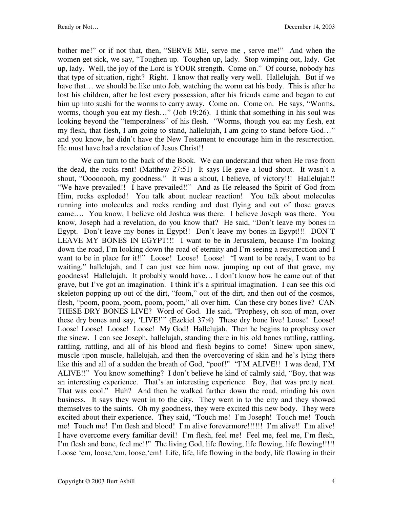bother me!" or if not that, then, "SERVE ME, serve me, serve me!" And when the women get sick, we say, "Toughen up. Toughen up, lady. Stop wimping out, lady. Get up, lady. Well, the joy of the Lord is YOUR strength. Come on." Of course, nobody has that type of situation, right? Right. I know that really very well. Hallelujah. But if we have that... we should be like unto Job, watching the worm eat his body. This is after he lost his children, after he lost every possession, after his friends came and began to cut him up into sushi for the worms to carry away. Come on. Come on. He says*,* "Worms, worms, though you eat my flesh…" (Job 19:26). I think that something in his soul was looking beyond the "temporalness" of his flesh. "Worms, though you eat my flesh, eat my flesh, that flesh, I am going to stand, hallelujah, I am going to stand before God…" and you know, he didn't have the New Testament to encourage him in the resurrection. He must have had a revelation of Jesus Christ!!

 We can turn to the back of the Book. We can understand that when He rose from the dead, the rocks rent! (Matthew 27:51) It says He gave a loud shout. It wasn't a shout, "Oooooooh, my goodness." It was a shout, I believe, of victory!!! Hallelujah!! "We have prevailed!! I have prevailed!!" And as He released the Spirit of God from Him, rocks exploded! You talk about nuclear reaction! You talk about molecules running into molecules and rocks rending and dust flying and out of those graves came…. You know, I believe old Joshua was there. I believe Joseph was there. You know, Joseph had a revelation, do you know that? He said, "Don't leave my bones in Egypt. Don't leave my bones in Egypt!! Don't leave my bones in Egypt!!! DON'T LEAVE MY BONES IN EGYPT!!! I want to be in Jerusalem, because I'm looking down the road, I'm looking down the road of eternity and I'm seeing a resurrection and I want to be in place for it!!" Loose! Loose! Loose! "I want to be ready, I want to be waiting," hallelujah, and I can just see him now, jumping up out of that grave, my goodness! Hallelujah. It probably would have… I don't know how he came out of that grave, but I've got an imagination. I think it's a spiritual imagination. I can see this old skeleton popping up out of the dirt, "foom," out of the dirt, and then out of the cosmos, flesh, "poom, poom, poom, poom, poom," all over him. Can these dry bones live? CAN THESE DRY BONES LIVE? Word of God. He said, "Prophesy, oh son of man, over these dry bones and say, 'LIVE!'" (Ezekiel 37:4) These dry bone live! Loose! Loose! Loose! Loose! Loose! Loose! My God! Hallelujah. Then he begins to prophesy over the sinew. I can see Joseph, hallelujah, standing there in his old bones rattling, rattling, rattling, rattling, and all of his blood and flesh begins to come! Sinew upon sinew, muscle upon muscle, hallelujah, and then the overcovering of skin and he's lying there like this and all of a sudden the breath of God, "poof!" "I'M ALIVE!! I was dead, I'M ALIVE!!" You know something? I don't believe he kind of calmly said, "Boy, that was an interesting experience. That's an interesting experience. Boy, that was pretty neat. That was cool." Huh? And then he walked farther down the road, minding his own business. It says they went in to the city. They went in to the city and they showed themselves to the saints. Oh my goodness, they were excited this new body. They were excited about their experience. They said, "Touch me! I'm Joseph! Touch me! Touch me! Touch me! I'm flesh and blood! I'm alive forevermore!!!!!! I'm alive!! I'm alive! I have overcome every familiar devil! I'm flesh, feel me! Feel me, feel me, I'm flesh, I'm flesh and bone, feel me!!" The living God, life flowing, life flowing, life flowing!!!!! Loose 'em, loose, 'em, loose, 'em! Life, life, life flowing in the body, life flowing in their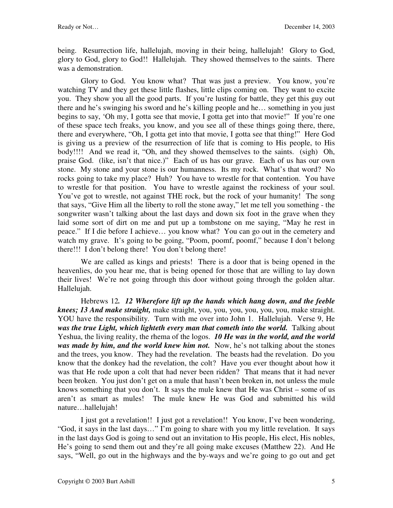being. Resurrection life, hallelujah, moving in their being, hallelujah! Glory to God, glory to God, glory to God!! Hallelujah. They showed themselves to the saints. There was a demonstration.

 Glory to God. You know what? That was just a preview. You know, you're watching TV and they get these little flashes, little clips coming on. They want to excite you. They show you all the good parts. If you're lusting for battle, they get this guy out there and he's swinging his sword and he's killing people and he… something in you just begins to say, 'Oh my, I gotta see that movie, I gotta get into that movie!" If you're one of these space tech freaks, you know, and you see all of these things going there, there, there and everywhere, "Oh, I gotta get into that movie, I gotta see that thing!" Here God is giving us a preview of the resurrection of life that is coming to His people, to His body!!!! And we read it, "Oh, and they showed themselves to the saints. (sigh) Oh, praise God. (like, isn't that nice.)" Each of us has our grave. Each of us has our own stone. My stone and your stone is our humanness. Its my rock. What's that word? No rocks going to take my place? Huh? You have to wrestle for that contention. You have to wrestle for that position. You have to wrestle against the rockiness of your soul. You've got to wrestle, not against THE rock, but the rock of your humanity! The song that says, "Give Him all the liberty to roll the stone away," let me tell you something - the songwriter wasn't talking about the last days and down six foot in the grave when they laid some sort of dirt on me and put up a tombstone on me saying, "May he rest in peace." If I die before I achieve… you know what? You can go out in the cemetery and watch my grave. It's going to be going, "Poom, poomf, poomf," because I don't belong there!!! I don't belong there! You don't belong there!

We are called as kings and priests! There is a door that is being opened in the heavenlies, do you hear me, that is being opened for those that are willing to lay down their lives! We're not going through this door without going through the golden altar. Hallelujah.

Hebrews 12*. 12 Wherefore lift up the hands which hang down, and the feeble knees; 13 And make straight,* make straight, you, you, you, you, you, you, make straight. YOU have the responsibility. Turn with me over into John 1. Hallelujah. Verse 9, He was the true Light, which lighteth every man that cometh into the world. Talking about Yeshua, the living reality, the rhema of the logos. *10 He was in the world, and the world was made by him, and the world knew him not.* Now, he's not talking about the stones and the trees, you know. They had the revelation. The beasts had the revelation. Do you know that the donkey had the revelation, the colt? Have you ever thought about how it was that He rode upon a colt that had never been ridden? That means that it had never been broken. You just don't get on a mule that hasn't been broken in, not unless the mule knows something that you don't. It says the mule knew that He was Christ – some of us aren't as smart as mules! The mule knew He was God and submitted his wild nature…hallelujah!

I just got a revelation!! I just got a revelation!! You know, I've been wondering, "God, it says in the last days…" I'm going to share with you my little revelation. It says in the last days God is going to send out an invitation to His people, His elect, His nobles, He's going to send them out and they're all going make excuses (Matthew 22). And He says, "Well, go out in the highways and the by-ways and we're going to go out and get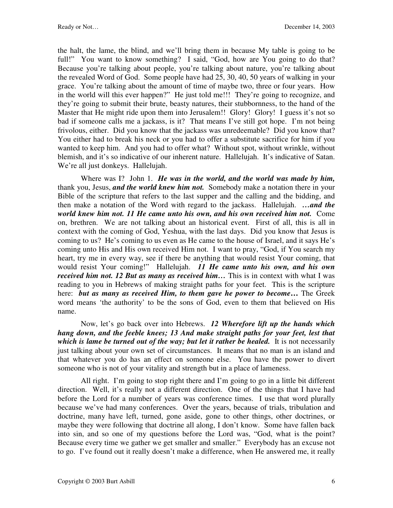the halt, the lame, the blind, and we'll bring them in because My table is going to be full!" You want to know something? I said, "God, how are You going to do that? Because you're talking about people, you're talking about nature, you're talking about the revealed Word of God. Some people have had 25, 30, 40, 50 years of walking in your grace. You're talking about the amount of time of maybe two, three or four years. How in the world will this ever happen?" He just told me!!! They're going to recognize, and they're going to submit their brute, beasty natures, their stubbornness, to the hand of the Master that He might ride upon them into Jerusalem!! Glory! Glory! I guess it's not so bad if someone calls me a jackass, is it? That means I've still got hope. I'm not being frivolous, either. Did you know that the jackass was unredeemable? Did you know that? You either had to break his neck or you had to offer a substitute sacrifice for him if you wanted to keep him. And you had to offer what? Without spot, without wrinkle, without blemish, and it's so indicative of our inherent nature. Hallelujah. It's indicative of Satan. We're all just donkeys. Hallelujah.

Where was I? John 1. *He was in the world, and the world was made by him,* thank you, Jesus, *and the world knew him not.* Somebody make a notation there in your Bible of the scripture that refers to the last supper and the calling and the bidding, and then make a notation of the Word with regard to the jackass. Hallelujah. *…and the world knew him not. 11 He came unto his own, and his own received him not.* Come on, brethren. We are not talking about an historical event. First of all, this is all in context with the coming of God, Yeshua, with the last days. Did you know that Jesus is coming to us? He's coming to us even as He came to the house of Israel, and it says He's coming unto His and His own received Him not. I want to pray, "God, if You search my heart, try me in every way, see if there be anything that would resist Your coming, that would resist Your coming!" Hallelujah. *11 He came unto his own, and his own received him not. 12 But as many as received him…* This is in context with what I was reading to you in Hebrews of making straight paths for your feet. This is the scripture here: *but as many as received Him, to them gave he power to become***…** The Greek word means 'the authority' to be the sons of God, even to them that believed on His name.

Now, let's go back over into Hebrews. *12 Wherefore lift up the hands which hang down, and the feeble knees; 13 And make straight paths for your feet, lest that which is lame be turned out of the way; but let it rather be healed.* It is not necessarily just talking about your own set of circumstances. It means that no man is an island and that whatever you do has an effect on someone else. You have the power to divert someone who is not of your vitality and strength but in a place of lameness.

All right. I'm going to stop right there and I'm going to go in a little bit different direction. Well, it's really not a different direction. One of the things that I have had before the Lord for a number of years was conference times. I use that word plurally because we've had many conferences. Over the years, because of trials, tribulation and doctrine, many have left, turned, gone aside, gone to other things, other doctrines, or maybe they were following that doctrine all along, I don't know. Some have fallen back into sin, and so one of my questions before the Lord was, "God, what is the point? Because every time we gather we get smaller and smaller." Everybody has an excuse not to go. I've found out it really doesn't make a difference, when He answered me, it really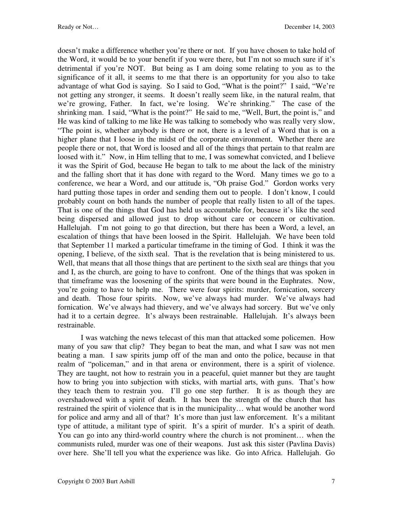doesn't make a difference whether you're there or not. If you have chosen to take hold of the Word, it would be to your benefit if you were there, but I'm not so much sure if it's detrimental if you're NOT. But being as I am doing some relating to you as to the significance of it all, it seems to me that there is an opportunity for you also to take advantage of what God is saying. So I said to God, "What is the point?" I said, "We're not getting any stronger, it seems. It doesn't really seem like, in the natural realm, that we're growing, Father. In fact, we're losing. We're shrinking." The case of the shrinking man. I said, "What is the point?" He said to me, "Well, Burt, the point is," and He was kind of talking to me like He was talking to somebody who was really very slow, "The point is, whether anybody is there or not, there is a level of a Word that is on a higher plane that I loose in the midst of the corporate environment. Whether there are people there or not, that Word is loosed and all of the things that pertain to that realm are loosed with it." Now, in Him telling that to me, I was somewhat convicted, and I believe it was the Spirit of God, because He began to talk to me about the lack of the ministry and the falling short that it has done with regard to the Word. Many times we go to a conference, we hear a Word, and our attitude is, "Oh praise God." Gordon works very hard putting those tapes in order and sending them out to people. I don't know, I could probably count on both hands the number of people that really listen to all of the tapes. That is one of the things that God has held us accountable for, because it's like the seed being dispersed and allowed just to drop without care or concern or cultivation. Hallelujah. I'm not going to go that direction, but there has been a Word, a level, an escalation of things that have been loosed in the Spirit. Hallelujah. We have been told that September 11 marked a particular timeframe in the timing of God. I think it was the opening, I believe, of the sixth seal. That is the revelation that is being ministered to us. Well, that means that all those things that are pertinent to the sixth seal are things that you and I, as the church, are going to have to confront. One of the things that was spoken in that timeframe was the loosening of the spirits that were bound in the Euphrates. Now, you're going to have to help me. There were four spirits: murder, fornication, sorcery and death. Those four spirits. Now, we've always had murder. We've always had fornication. We've always had thievery, and we've always had sorcery. But we've only had it to a certain degree. It's always been restrainable. Hallelujah. It's always been restrainable.

I was watching the news telecast of this man that attacked some policemen. How many of you saw that clip? They began to beat the man, and what I saw was not men beating a man. I saw spirits jump off of the man and onto the police, because in that realm of "policeman," and in that arena or environment, there is a spirit of violence. They are taught, not how to restrain you in a peaceful, quiet manner but they are taught how to bring you into subjection with sticks, with martial arts, with guns. That's how they teach them to restrain you. I'll go one step further. It is as though they are overshadowed with a spirit of death. It has been the strength of the church that has restrained the spirit of violence that is in the municipality… what would be another word for police and army and all of that? It's more than just law enforcement. It's a militant type of attitude, a militant type of spirit. It's a spirit of murder. It's a spirit of death. You can go into any third-world country where the church is not prominent… when the communists ruled, murder was one of their weapons. Just ask this sister (Pavlina Davis) over here. She'll tell you what the experience was like. Go into Africa. Hallelujah. Go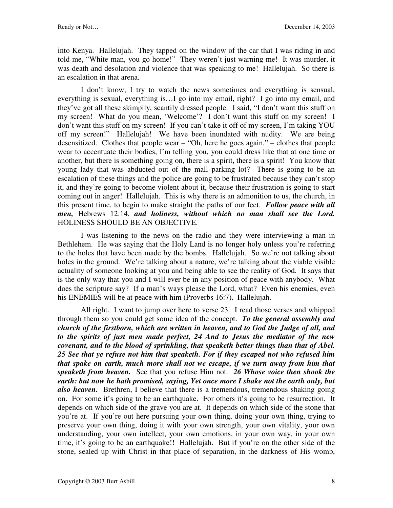into Kenya. Hallelujah. They tapped on the window of the car that I was riding in and told me, "White man, you go home!" They weren't just warning me! It was murder, it was death and desolation and violence that was speaking to me! Hallelujah. So there is an escalation in that arena.

I don't know, I try to watch the news sometimes and everything is sensual, everything is sexual, everything is…I go into my email, right? I go into my email, and they've got all these skimpily, scantily dressed people. I said, "I don't want this stuff on my screen! What do you mean, 'Welcome'? I don't want this stuff on my screen! I don't want this stuff on my screen! If you can't take it off of my screen, I'm taking YOU off my screen!" Hallelujah! We have been inundated with nudity. We are being desensitized. Clothes that people wear – "Oh, here he goes again," – clothes that people wear to accentuate their bodies, I'm telling you, you could dress like that at one time or another, but there is something going on, there is a spirit, there is a spirit! You know that young lady that was abducted out of the mall parking lot? There is going to be an escalation of these things and the police are going to be frustrated because they can't stop it, and they're going to become violent about it, because their frustration is going to start coming out in anger! Hallelujah. This is why there is an admonition to us, the church, in this present time, to begin to make straight the paths of our feet. *Follow peace with all men,* Hebrews 12:14, *and holiness, without which no man shall see the Lord.*  HOLINESS SHOULD BE AN OBJECTIVE.

I was listening to the news on the radio and they were interviewing a man in Bethlehem. He was saying that the Holy Land is no longer holy unless you're referring to the holes that have been made by the bombs. Hallelujah. So we're not talking about holes in the ground. We're talking about a nature, we're talking about the viable visible actuality of someone looking at you and being able to see the reality of God. It says that is the only way that you and I will ever be in any position of peace with anybody. What does the scripture say? If a man's ways please the Lord, what? Even his enemies, even his ENEMIES will be at peace with him (Proverbs 16:7). Hallelujah.

All right. I want to jump over here to verse 23. I read those verses and whipped through them so you could get some idea of the concept. *To the general assembly and church of the firstborn, which are written in heaven, and to God the Judge of all, and to the spirits of just men made perfect, 24 And to Jesus the mediator of the new covenant, and to the blood of sprinkling, that speaketh better things than that of Abel. 25 See that ye refuse not him that speaketh. For if they escaped not who refused him that spake on earth, much more shall not we escape, if we turn away from him that speaketh from heaven.* See that you refuse Him not. *26 Whose voice then shook the earth: but now he hath promised, saying, Yet once more I shake not the earth only, but also heaven.* Brethren, I believe that there is a tremendous, tremendous shaking going on. For some it's going to be an earthquake. For others it's going to be resurrection. It depends on which side of the grave you are at. It depends on which side of the stone that you're at. If you're out here pursuing your own thing, doing your own thing, trying to preserve your own thing, doing it with your own strength, your own vitality, your own understanding, your own intellect, your own emotions, in your own way, in your own time, it's going to be an earthquake!! Hallelujah. But if you're on the other side of the stone, sealed up with Christ in that place of separation, in the darkness of His womb,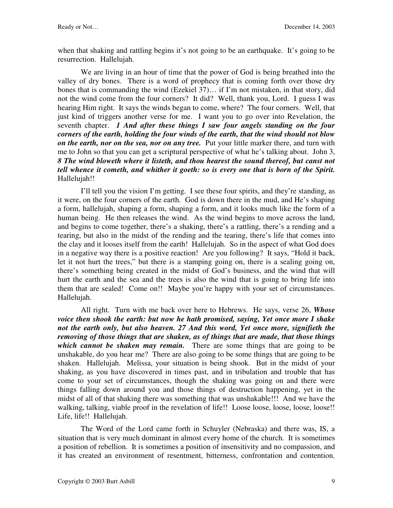when that shaking and rattling begins it's not going to be an earthquake. It's going to be resurrection. Hallelujah.

We are living in an hour of time that the power of God is being breathed into the valley of dry bones. There is a word of prophecy that is coming forth over those dry bones that is commanding the wind (Ezekiel 37)… if I'm not mistaken, in that story, did not the wind come from the four corners? It did? Well, thank you, Lord. I guess I was hearing Him right. It says the winds began to come, where? The four corners. Well, that just kind of triggers another verse for me. I want you to go over into Revelation, the seventh chapter. *1 And after these things I saw four angels standing on the four corners of the earth, holding the four winds of the earth, that the wind should not blow on the earth, nor on the sea, nor on any tree.* Put your little marker there, and turn with me to John so that you can get a scriptural perspective of what he's talking about. John 3, *8 The wind bloweth where it listeth, and thou hearest the sound thereof, but canst not tell whence it cometh, and whither it goeth: so is every one that is born of the Spirit.*  Hallelujah!!

I'll tell you the vision I'm getting. I see these four spirits, and they're standing, as it were, on the four corners of the earth. God is down there in the mud, and He's shaping a form, hallelujah, shaping a form, shaping a form, and it looks much like the form of a human being. He then releases the wind. As the wind begins to move across the land, and begins to come together, there's a shaking, there's a rattling, there's a rending and a tearing, but also in the midst of the rending and the tearing, there's life that comes into the clay and it looses itself from the earth! Hallelujah. So in the aspect of what God does in a negative way there is a positive reaction! Are you following? It says, "Hold it back, let it not hurt the trees," but there is a stamping going on, there is a sealing going on, there's something being created in the midst of God's business, and the wind that will hurt the earth and the sea and the trees is also the wind that is going to bring life into them that are sealed! Come on!! Maybe you're happy with your set of circumstances. Hallelujah.

All right. Turn with me back over here to Hebrews. He says, verse 26, *Whose voice then shook the earth: but now he hath promised, saying, Yet once more I shake not the earth only, but also heaven. 27 And this word, Yet once more, signifieth the removing of those things that are shaken, as of things that are made, that those things which cannot be shaken may remain.* There are some things that are going to be unshakable, do you hear me? There are also going to be some things that are going to be shaken. Hallelujah. Melissa, your situation is being shook. But in the midst of your shaking, as you have discovered in times past, and in tribulation and trouble that has come to your set of circumstances, though the shaking was going on and there were things falling down around you and those things of destruction happening, yet in the midst of all of that shaking there was something that was unshakable!!! And we have the walking, talking, viable proof in the revelation of life!! Loose loose, loose, loose, loose!! Life, life!! Hallelujah.

The Word of the Lord came forth in Schuyler (Nebraska) and there was, IS, a situation that is very much dominant in almost every home of the church. It is sometimes a position of rebellion. It is sometimes a position of insensitivity and no compassion, and it has created an environment of resentment, bitterness, confrontation and contention.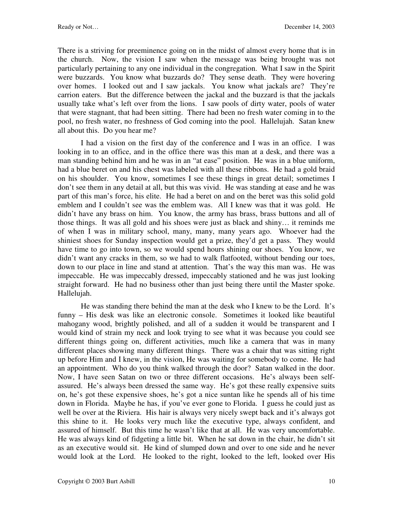There is a striving for preeminence going on in the midst of almost every home that is in the church. Now, the vision I saw when the message was being brought was not particularly pertaining to any one individual in the congregation. What I saw in the Spirit were buzzards. You know what buzzards do? They sense death. They were hovering over homes. I looked out and I saw jackals. You know what jackals are? They're carrion eaters. But the difference between the jackal and the buzzard is that the jackals usually take what's left over from the lions. I saw pools of dirty water, pools of water that were stagnant, that had been sitting. There had been no fresh water coming in to the pool, no fresh water, no freshness of God coming into the pool. Hallelujah. Satan knew all about this. Do you hear me?

I had a vision on the first day of the conference and I was in an office. I was looking in to an office, and in the office there was this man at a desk, and there was a man standing behind him and he was in an "at ease" position. He was in a blue uniform, had a blue beret on and his chest was labeled with all these ribbons. He had a gold braid on his shoulder. You know, sometimes I see these things in great detail; sometimes I don't see them in any detail at all, but this was vivid. He was standing at ease and he was part of this man's force, his elite. He had a beret on and on the beret was this solid gold emblem and I couldn't see was the emblem was. All I knew was that it was gold. He didn't have any brass on him. You know, the army has brass, brass buttons and all of those things. It was all gold and his shoes were just as black and shiny… it reminds me of when I was in military school, many, many, many years ago. Whoever had the shiniest shoes for Sunday inspection would get a prize, they'd get a pass. They would have time to go into town, so we would spend hours shining our shoes. You know, we didn't want any cracks in them, so we had to walk flatfooted, without bending our toes, down to our place in line and stand at attention. That's the way this man was. He was impeccable. He was impeccably dressed, impeccably stationed and he was just looking straight forward. He had no business other than just being there until the Master spoke. Hallelujah.

He was standing there behind the man at the desk who I knew to be the Lord. It's funny – His desk was like an electronic console. Sometimes it looked like beautiful mahogany wood, brightly polished, and all of a sudden it would be transparent and I would kind of strain my neck and look trying to see what it was because you could see different things going on, different activities, much like a camera that was in many different places showing many different things. There was a chair that was sitting right up before Him and I knew, in the vision, He was waiting for somebody to come. He had an appointment. Who do you think walked through the door? Satan walked in the door. Now, I have seen Satan on two or three different occasions. He's always been selfassured. He's always been dressed the same way. He's got these really expensive suits on, he's got these expensive shoes, he's got a nice suntan like he spends all of his time down in Florida. Maybe he has, if you've ever gone to Florida. I guess he could just as well be over at the Riviera. His hair is always very nicely swept back and it's always got this shine to it. He looks very much like the executive type, always confident, and assured of himself. But this time he wasn't like that at all. He was very uncomfortable. He was always kind of fidgeting a little bit. When he sat down in the chair, he didn't sit as an executive would sit. He kind of slumped down and over to one side and he never would look at the Lord. He looked to the right, looked to the left, looked over His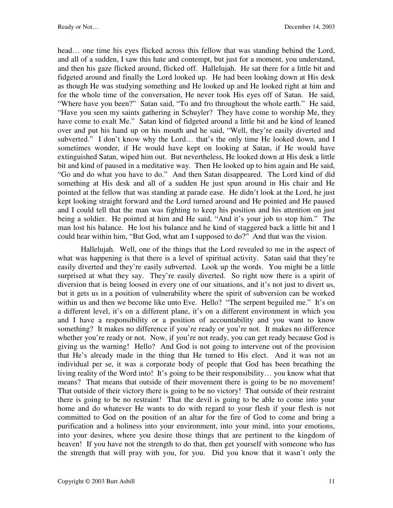head… one time his eyes flicked across this fellow that was standing behind the Lord, and all of a sudden, I saw this hate and contempt, but just for a moment, you understand, and then his gaze flicked around, flicked off. Hallelujah. He sat there for a little bit and fidgeted around and finally the Lord looked up. He had been looking down at His desk as though He was studying something and He looked up and He looked right at him and for the whole time of the conversation, He never took His eyes off of Satan. He said, "Where have you been?" Satan said, "To and fro throughout the whole earth." He said, "Have you seen my saints gathering in Schuyler? They have come to worship Me, they have come to exalt Me." Satan kind of fidgeted around a little bit and he kind of leaned over and put his hand up on his mouth and he said, "Well, they're easily diverted and subverted." I don't know why the Lord... that's the only time He looked down, and I sometimes wonder, if He would have kept on looking at Satan, if He would have extinguished Satan, wiped him out. But nevertheless, He looked down at His desk a little bit and kind of paused in a meditative way. Then He looked up to him again and He said, "Go and do what you have to do." And then Satan disappeared. The Lord kind of did something at His desk and all of a sudden He just spun around in His chair and He pointed at the fellow that was standing at parade ease. He didn't look at the Lord, he just kept looking straight forward and the Lord turned around and He pointed and He paused and I could tell that the man was fighting to keep his position and his attention on just being a soldier. He pointed at him and He said, "And it's your job to stop him." The man lost his balance. He lost his balance and he kind of staggered back a little bit and I could hear within him, "But God, what am I supposed to do?" And that was the vision.

Hallelujah. Well, one of the things that the Lord revealed to me in the aspect of what was happening is that there is a level of spiritual activity. Satan said that they're easily diverted and they're easily subverted. Look up the words. You might be a little surprised at what they say. They're easily diverted. So right now there is a spirit of diversion that is being loosed in every one of our situations, and it's not just to divert us, but it gets us in a position of vulnerability where the spirit of subversion can be worked within us and then we become like unto Eve. Hello? "The serpent beguiled me." It's on a different level, it's on a different plane, it's on a different environment in which you and I have a responsibility or a position of accountability and you want to know something? It makes no difference if you're ready or you're not. It makes no difference whether you're ready or not. Now, if you're not ready, you can get ready because God is giving us the warning! Hello? And God is not going to intervene out of the provision that He's already made in the thing that He turned to His elect. And it was not an individual per se, it was a corporate body of people that God has been breathing the living reality of the Word into! It's going to be their responsibility… you know what that means? That means that outside of their movement there is going to be no movement! That outside of their victory there is going to be no victory! That outside of their restraint there is going to be no restraint! That the devil is going to be able to come into your home and do whatever He wants to do with regard to your flesh if your flesh is not committed to God on the position of an altar for the fire of God to come and bring a purification and a holiness into your environment, into your mind, into your emotions, into your desires, where you desire those things that are pertinent to the kingdom of heaven! If you have not the strength to do that, then get yourself with someone who has the strength that will pray with you, for you. Did you know that it wasn't only the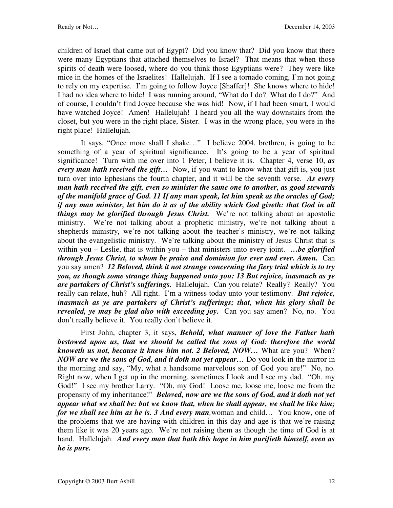children of Israel that came out of Egypt? Did you know that? Did you know that there were many Egyptians that attached themselves to Israel? That means that when those spirits of death were loosed, where do you think those Egyptians were? They were like mice in the homes of the Israelites! Hallelujah. If I see a tornado coming, I'm not going to rely on my expertise. I'm going to follow Joyce [Shaffer]! She knows where to hide! I had no idea where to hide! I was running around, "What do I do? What do I do?" And of course, I couldn't find Joyce because she was hid! Now, if I had been smart, I would have watched Joyce! Amen! Hallelujah! I heard you all the way downstairs from the closet, but you were in the right place, Sister. I was in the wrong place, you were in the right place! Hallelujah.

It says, "Once more shall I shake…" I believe 2004, brethren, is going to be something of a year of spiritual significance. It's going to be a year of spiritual significance! Turn with me over into 1 Peter, I believe it is. Chapter 4, verse 10, *as every man hath received the gift...* Now, if you want to know what that gift is, you just turn over into Ephesians the fourth chapter, and it will be the seventh verse. *As every man hath received the gift, even so minister the same one to another, as good stewards of the manifold grace of God. 11 If any man speak, let him speak as the oracles of God; if any man minister, let him do it as of the ability which God giveth: that God in all things may be glorified through Jesus Christ.* We're not talking about an apostolic ministry. We're not talking about a prophetic ministry, we're not talking about a shepherds ministry, we're not talking about the teacher's ministry, we're not talking about the evangelistic ministry. We're talking about the ministry of Jesus Christ that is within you – Leslie, that is within you – that ministers unto every joint. *…be glorified through Jesus Christ, to whom be praise and dominion for ever and ever. Amen.* Can you say amen? *12 Beloved, think it not strange concerning the fiery trial which is to try you, as though some strange thing happened unto you: 13 But rejoice, inasmuch as ye are partakers of Christ's sufferings.* Hallelujah. Can you relate? Really? Really? You really can relate, huh? All right. I'm a witness today unto your testimony. *But rejoice, inasmuch as ye are partakers of Christ's sufferings; that, when his glory shall be revealed, ye may be glad also with exceeding joy.* Can you say amen? No, no. You don't really believe it. You really don't believe it.

First John, chapter 3, it says, *Behold, what manner of love the Father hath*  bestowed upon us, that we should be called the sons of God: therefore the world *knoweth us not, because it knew him not. 2 Beloved, NOW…* What are you? When? *NOW are we the sons of God, and it doth not yet appear…* Do you look in the mirror in the morning and say, "My, what a handsome marvelous son of God you are!" No, no. Right now, when I get up in the morning, sometimes I look and I see my dad. "Oh, my God!" I see my brother Larry. "Oh, my God! Loose me, loose me, loose me from the propensity of my inheritance!" *Beloved, now are we the sons of God, and it doth not yet appear what we shall be: but we know that, when he shall appear, we shall be like him; for we shall see him as he is. 3 And every man,*woman and child… You know, one of the problems that we are having with children in this day and age is that we're raising them like it was 20 years ago. We're not raising them as though the time of God is at hand. Hallelujah. *And every man that hath this hope in him purifieth himself, even as he is pure.*